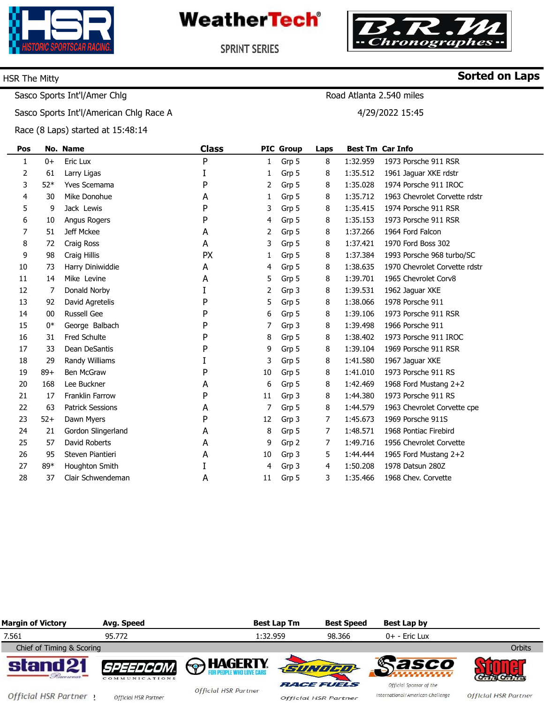

**WeatherTech®** 



**Sorted on Laps**

**SPRINT SERIES** 

#### HSR The Mitty

Road Atlanta 2.540 miles

4/29/2022 15:45

Sasco Sports Int'l/American Chlg Race A

Sasco Sports Int'l/Amer Chlg

Race (8 Laps) started at 15:48:14

| Pos          |       | No. Name                | <b>Class</b> |    | <b>PIC Group</b> | Laps |          | <b>Best Tm Car Info</b>       |  |
|--------------|-------|-------------------------|--------------|----|------------------|------|----------|-------------------------------|--|
| $\mathbf{1}$ | $0+$  | Eric Lux                | P            | 1  | Grp 5            | 8    | 1:32.959 | 1973 Porsche 911 RSR          |  |
| 2            | 61    | Larry Ligas             | I            | 1  | Grp 5            | 8    | 1:35.512 | 1961 Jaguar XKE rdstr         |  |
| 3            | $52*$ | <b>Yves Scemama</b>     | P            | 2  | Grp 5            | 8    | 1:35.028 | 1974 Porsche 911 IROC         |  |
| 4            | 30    | Mike Donohue            | A            | 1  | Grp 5            | 8    | 1:35.712 | 1963 Chevrolet Corvette rdstr |  |
| 5            | 9     | Jack Lewis              | P            | 3  | Grp 5            | 8    | 1:35.415 | 1974 Porsche 911 RSR          |  |
| 6            | 10    | Angus Rogers            | P            | 4  | Grp 5            | 8    | 1:35.153 | 1973 Porsche 911 RSR          |  |
| 7            | 51    | Jeff Mckee              | A            | 2  | Grp 5            | 8    | 1:37.266 | 1964 Ford Falcon              |  |
| 8            | 72    | Craig Ross              | A            | 3  | Grp 5            | 8    | 1:37.421 | 1970 Ford Boss 302            |  |
| 9            | 98    | Craig Hillis            | <b>PX</b>    | 1  | Grp 5            | 8    | 1:37.384 | 1993 Porsche 968 turbo/SC     |  |
| 10           | 73    | Harry Diniwiddie        | A            | 4  | Grp 5            | 8    | 1:38.635 | 1970 Chevrolet Corvette rdstr |  |
| 11           | 14    | Mike Levine             | A            | 5  | Grp 5            | 8    | 1:39.701 | 1965 Chevrolet Corv8          |  |
| 12           | 7     | Donald Norby            | I            | 2  | Grp 3            | 8    | 1:39.531 | 1962 Jaguar XKE               |  |
| 13           | 92    | David Agretelis         | P            | 5  | Grp 5            | 8    | 1:38.066 | 1978 Porsche 911              |  |
| 14           | 00    | <b>Russell Gee</b>      | P            | 6  | Grp 5            | 8    | 1:39.106 | 1973 Porsche 911 RSR          |  |
| 15           | 0*    | George Balbach          | P            | 7  | Grp 3            | 8    | 1:39.498 | 1966 Porsche 911              |  |
| 16           | 31    | <b>Fred Schulte</b>     | P            | 8  | Grp 5            | 8    | 1:38.402 | 1973 Porsche 911 IROC         |  |
| 17           | 33    | Dean DeSantis           | P            | 9  | Grp 5            | 8    | 1:39.104 | 1969 Porsche 911 RSR          |  |
| 18           | 29    | Randy Williams          | I            | 3  | Grp 5            | 8    | 1:41.580 | 1967 Jaguar XKE               |  |
| 19           | $89+$ | <b>Ben McGraw</b>       | P            | 10 | Grp 5            | 8    | 1:41.010 | 1973 Porsche 911 RS           |  |
| 20           | 168   | Lee Buckner             | A            | 6  | Grp 5            | 8    | 1:42.469 | 1968 Ford Mustang 2+2         |  |
| 21           | 17    | <b>Franklin Farrow</b>  | P            | 11 | Grp 3            | 8    | 1:44.380 | 1973 Porsche 911 RS           |  |
| 22           | 63    | <b>Patrick Sessions</b> | A            | 7  | Grp 5            | 8    | 1:44.579 | 1963 Chevrolet Corvette cpe   |  |
| 23           | $52+$ | Dawn Myers              | P            | 12 | Grp 3            | 7    | 1:45.673 | 1969 Porsche 911S             |  |
| 24           | 21    | Gordon Slingerland      | А            | 8  | Grp 5            | 7    | 1:48.571 | 1968 Pontiac Firebird         |  |
| 25           | 57    | David Roberts           | A            | 9  | Grp 2            | 7    | 1:49.716 | 1956 Chevrolet Corvette       |  |
| 26           | 95    | Steven Piantieri        | А            | 10 | Grp 3            | 5    | 1:44.444 | 1965 Ford Mustang 2+2         |  |
| 27           | 89*   | Houghton Smith          | I            | 4  | Grp 3            | 4    | 1:50.208 | 1978 Datsun 280Z              |  |
| 28           | 37    | Clair Schwendeman       | А            | 11 | Grp 5            | 3    | 1:35.466 | 1968 Chev. Corvette           |  |
|              |       |                         |              |    |                  |      |          |                               |  |

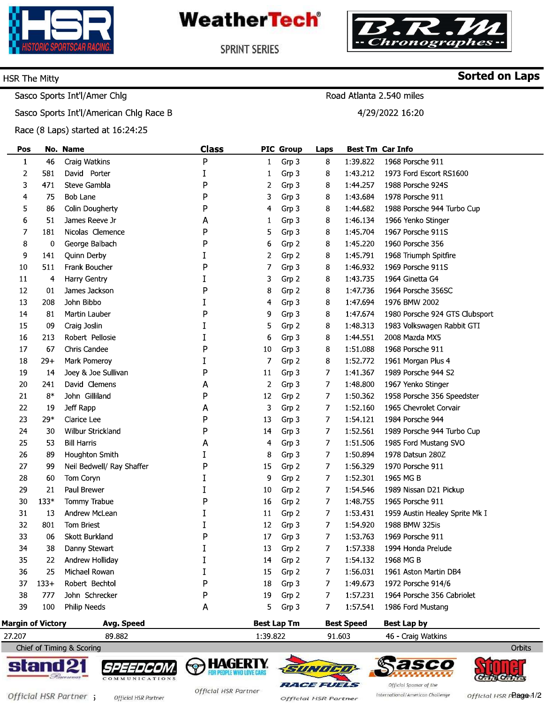

**WeatherTech®** 



**Sorted on Laps** 

**SPRINT SERIES** 

#### HSR The Mitty

### Road Atlanta 2.540 miles

4/29/2022 16:20

Sasco Sports Int'l/Amer Chlg Sasco Sports Int'l/American Chlg Race B

Race (8 Laps) started at 16:24:25

| Pos                      |        | No. Name                  | <b>Class</b> |        | <b>PIC Group</b>   | Laps               | <b>Best Tm Car Info</b> |                                |  |  |
|--------------------------|--------|---------------------------|--------------|--------|--------------------|--------------------|-------------------------|--------------------------------|--|--|
| $\mathbf{1}$             | 46     | Craig Watkins             | P            | 1      | Grp 3              | 8                  | 1:39.822                | 1968 Porsche 911               |  |  |
| 2                        | 581    | David Porter              | I            | 1      | Grp 3              | 8                  | 1:43 212                | 1973 Ford Escort RS1600        |  |  |
| 3                        | 471    | Steve Gambla              | P            | 2      | Grp 3              | 8                  | 1:44 257                | 1988 Porsche 924S              |  |  |
| 4                        | 75     | Bob Lane                  | P            | 3      | Grp 3              | 8                  | 1:43.684                | 1978 Porsche 911               |  |  |
| 5                        | 86     | Colin Dougherty           | P            | 4      | Grp 3              | 8                  | 1:44.682                | 1988 Porsche 944 Turbo Cup     |  |  |
| 6                        | 51     | James Reeve Jr            | Α            | 1      | Grp 3              | 8                  | 1:46 134                | 1966 Yenko Stinger             |  |  |
| 7                        | 181    | Nicolas Clemence          | P            | 5      | Grp 3              | 8                  | 1:45 704                | 1967 Porsche 911S              |  |  |
| 8                        | 0      | George Balbach            | P            | 6      | Grp 2              | 8                  | 1:45.220                | 1960 Porsche 356               |  |  |
| 9                        | 141    | Quinn Derby               |              | 2      | Grp 2              | 8                  | 1:45 791                | 1968 Triumph Spitfire          |  |  |
| 10                       | 511    | Frank Boucher             | P            | 7      | Grp 3              | 8                  | 1:46.932                | 1969 Porsche 911S              |  |  |
| 11                       | 4      | Harry Gentry              |              | 3      | Grp 2              | 8                  | 1:43.735                | 1964 Ginetta G4                |  |  |
| 12                       | 01     | James Jackson             | P            | 8      | Grp 2              | 8                  | 1:47 736                | 1964 Porsche 356SC             |  |  |
| 13                       | 208    | John Bibbo                |              | 4      | Grp 3              | 8                  | 1:47 694                | 1976 BMW 2002                  |  |  |
| 14                       | 81     | Martin Lauber             | P            | 9      | Grp 3              | 8                  | 1:47 674                | 1980 Porsche 924 GTS Clubsport |  |  |
| 15                       | 09     | Craig Joslin              |              | 5      | Grp 2              | 8                  | 1:48.313                | 1983 Volkswagen Rabbit GTI     |  |  |
| 16                       | 213    | Robert Pellosie           |              | 6      | Grp 3              | 8                  | 1:44.551                | 2008 Mazda MX5                 |  |  |
| 17                       | 67     | Chris Candee              | P            | 10     | Grp 3              | 8                  | 1:51 088                | 1968 Porsche 911               |  |  |
| 18                       | $29+$  | Mark Pomeroy              |              | 7      | Grp 2              | 8                  | 1:52 772                | 1961 Morgan Plus 4             |  |  |
| 19                       | 14     | Joey & Joe Sullivan       | P            | 11     | Grp 3              | 7                  | 1:41 367                | 1989 Porsche 944 S2            |  |  |
| 20                       | 241    | David Clemens             | A            | 2      | Grp 3              | 7                  | 1:48.800                | 1967 Yenko Stinger             |  |  |
| 21                       | $8*$   | John Gilliland            | P            | 12     | Grp 2              | 7                  | 1:50.362                | 1958 Porsche 356 Speedster     |  |  |
| 22                       | 19     | Jeff Rapp                 | A            | 3      | Grp 2              | 7                  | 1:52.160                | 1965 Chevrolet Corvair         |  |  |
| 23                       | 29*    | Clarice Lee               | P            | 13     | Grp 3              | 7                  | 1:54.121                | 1984 Porsche 944               |  |  |
| 24                       | 30     | Wilbur Strickland         | P            | 14     | Grp 3              | 7                  | 1:52.561                | 1989 Porsche 944 Turbo Cup     |  |  |
| 25                       | 53     | <b>Bill Harris</b>        | A            | 4      | Grp 3              | 7                  | 1:51.506                | 1985 Ford Mustang SVO          |  |  |
| 26                       | 89     | Houghton Smith            |              | 8      | Grp 3              | 7                  | 1:50.894                | 1978 Datsun 280Z               |  |  |
| 27                       | 99     | Neil Bedwell/ Ray Shaffer | P            | 15     | Grp 2              | 7                  | 1:56.329                | 1970 Porsche 911               |  |  |
| 28                       | 60     | Tom Coryn                 |              | 9      | Grp 2              | 7                  | 1:52.301                | 1965 MG B                      |  |  |
| 29                       | 21     | Paul Brewer               |              | 10     | Grp 2              | 7                  | 1:54 546                | 1989 Nissan D21 Pickup         |  |  |
| 30                       | 133*   | Tommy Trabue              | P            | 16     | Grp 2              | 7.                 | 1:48.755                | 1965 Porsche 911               |  |  |
| 31                       | 13     | Andrew McLean             |              | 11     | Grp 2              | 7                  | 1:53.431                | 1959 Austin Healey Sprite Mk I |  |  |
| 32                       | 801    | Tom Briest                |              | 12     | Grp 3              | 7                  | 1:54.920                | 1988 BMW 325is                 |  |  |
| 33                       | 06     | <b>Skott Burkland</b>     | P            | 17     | Grp 3              | 7                  | 1:53 763                | 1969 Porsche 911               |  |  |
| 34                       | 38     | Danny Stewart             | I            | 13     | Grp 2              | 7                  | 1:57 338                | 1994 Honda Prelude             |  |  |
| 35                       | 22     | Andrew Holliday           |              | 14     | Grp 2              | 7                  | 1:54 132                | 1968 MG B                      |  |  |
| 36                       | 25     | Michael Rowan             |              | 15     | Grp 2              | 7.                 | 1:56.031                | 1961 Aston Martin DB4          |  |  |
| 37                       | $133+$ | Robert Bechtol            | P            | 18     | Grp 3              | 7.                 | 1:49 673                | 1972 Porsche 914/6             |  |  |
| 38                       | 777    | John Schrecker            | P            | 19     | Grp 2              | 7.                 | 1:57 231                | 1964 Porsche 356 Cabriolet     |  |  |
| 39                       | 100    | Philip Needs              | A            | 5      | Grp 3              | 7.                 | 1:57 541                | 1986 Ford Mustang              |  |  |
| <b>Margin of Victory</b> |        | Avg. Speed                |              |        | <b>Best Lap Tm</b> |                    | <b>Best Speed</b>       | <b>Best Lap by</b>             |  |  |
| 89.882<br>27.207         |        | 1:39 822                  |              | 91 603 |                    | 46 - Craig Watkins |                         |                                |  |  |

Chief of Timing & Scoring





**|a|e|a** 

I=1=



P

**HAGERTY** 

**RACE FUELS Official HSR Partner** 

SUNDED

International/American Challenge

asco

Official Sponsor of the Official HSR Pager1/2